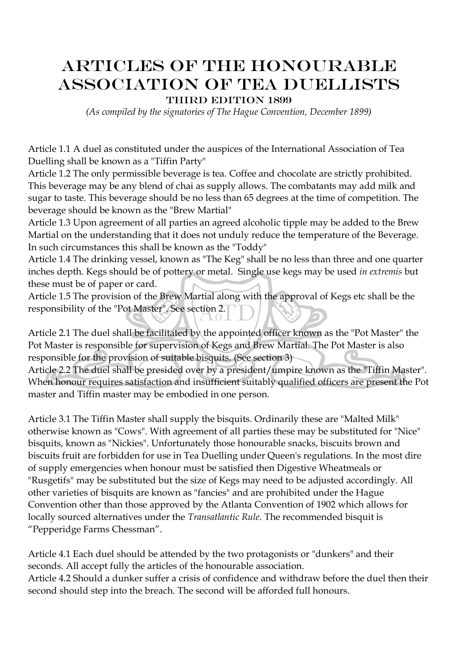## Articles of the Honourable Association of Tea Duellists

THIRD EDITION 1899

*(As compiled by the signatories of The Hague Convention, December 1899)*

Article 1.1 A duel as constituted under the auspices of the International Association of Tea Duelling shall be known as a "Tiffin Party"

Article 1.2 The only permissible beverage is tea. Coffee and chocolate are strictly prohibited. This beverage may be any blend of chai as supply allows. The combatants may add milk and sugar to taste. This beverage should be no less than 65 degrees at the time of competition. The beverage should be known as the "Brew Martial"

Article 1.3 Upon agreement of all parties an agreed alcoholic tipple may be added to the Brew Martial on the understanding that it does not unduly reduce the temperature of the Beverage. In such circumstances this shall be known as the "Toddy"

Article 1.4 The drinking vessel, known as "The Keg" shall be no less than three and one quarter inches depth. Kegs should be of pottery or metal. Single use kegs may be used *in extremis* but these must be of paper or card.

Article 1.5 The provision of the Brew Martial along with the approval of Kegs etc shall be the responsibility of the "Pot Master". See section 2.

Article 2.1 The duel shall be facilitated by the appointed officer known as the "Pot Master" the Pot Master is responsible for supervision of Kegs and Brew Martial. The Pot Master is also responsible for the provision of suitable bisquits. (See section 3)

Article 2.2 The duel shall be presided over by a president/umpire known as the "Tiffin Master". When honour requires satisfaction and insufficient suitably qualified officers are present the Pot master and Tiffin master may be embodied in one person.

Article 3.1 The Tiffin Master shall supply the bisquits. Ordinarily these are "Malted Milk" otherwise known as "Cows". With agreement of all parties these may be substituted for "Nice" bisquits, known as "Nickies". Unfortunately those honourable snacks, biscuits brown and biscuits fruit are forbidden for use in Tea Duelling under Queen's regulations. In the most dire of supply emergencies when honour must be satisfied then Digestive Wheatmeals or "Rusgetifs" may be substituted but the size of Kegs may need to be adjusted accordingly. All other varieties of bisquits are known as "fancies" and are prohibited under the Hague Convention other than those approved by the Atlanta Convention of 1902 which allows for locally sourced alternatives under the *Transatlantic Rule*. The recommended bisquit is "Pepperidge Farms Chessman".

Article 4.1 Each duel should be attended by the two protagonists or "dunkers" and their seconds. All accept fully the articles of the honourable association. Article 4.2 Should a dunker suffer a crisis of confidence and withdraw before the duel then their second should step into the breach. The second will be afforded full honours.